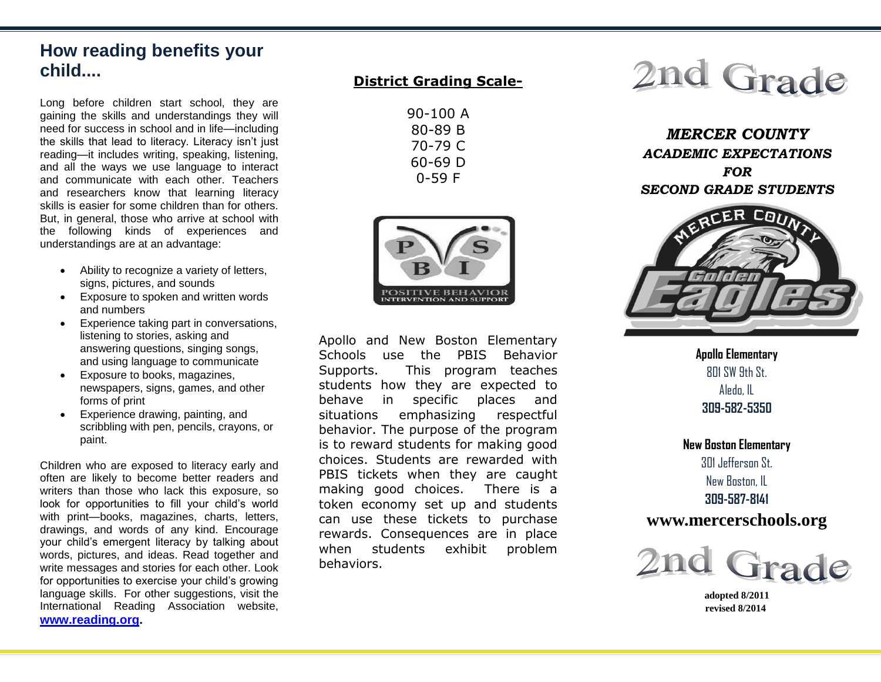# **How reading benefits your child....**

Long before children start school, they are gaining the skills and understandings they will need for success in school and in life—including the skills that lead to literacy. Literacy isn't just reading—it includes writing, speaking, listening, and all the ways we use language to interact and communicate with each other. Teachers and researchers know that learning literacy skills is easier for some children than for others. But, in general, those who arrive at school with the following kinds of experiences and understandings are at an advantage:

- Ability to recognize a variety of letters, signs, pictures, and sounds
- Exposure to spoken and written words and numbers
- Experience taking part in conversations, listening to stories, asking and answering questions, singing songs, and using language to communicate
- Exposure to books, magazines, newspapers, signs, games, and other forms of print
- Experience drawing, painting, and scribbling with pen, pencils, crayons, or paint.

Children who are exposed to literacy early and often are likely to become better readers and writers than those who lack this exposure, so look for opportunities to fill your child's world with print—books, magazines, charts, letters, drawings, and words of any kind. Encourage your child's emergent literacy by talking about words, pictures, and ideas. Read together and write messages and stories for each other. Look for opportunities to exercise your child's growing language skills. For other suggestions, visit the International Reading Association website, **[www.reading.org.](http://www.reading.org/)**

# **District Grading Scale-**

| 90-100 A  |
|-----------|
| 80-89 B   |
| 70-79 C   |
| 60-69 D   |
| $0 - 59F$ |



Apollo and New Boston Elementary Schools use the PBIS Behavior Supports. This program teaches students how they are expected to behave in specific places and situations emphasizing respectful behavior. The purpose of the program is to reward students for making good choices. Students are rewarded with PBIS tickets when they are caught making good choices. There is a token economy set up and students can use these tickets to purchase rewards. Consequences are in place when students exhibit problem behaviors.



*MERCER COUNTY ACADEMIC EXPECTATIONS FOR SECOND GRADE STUDENTS*



**Apollo Elementary**  $801$  SW  $9th$  St. Aledo, IL **309-582-5350**

**New Boston Elementary** 301 Jefferson St. New Boston, IL **309-587-8141**

# **www.mercerschools.org**



 **adopted 8/2011 revised 8/2014**